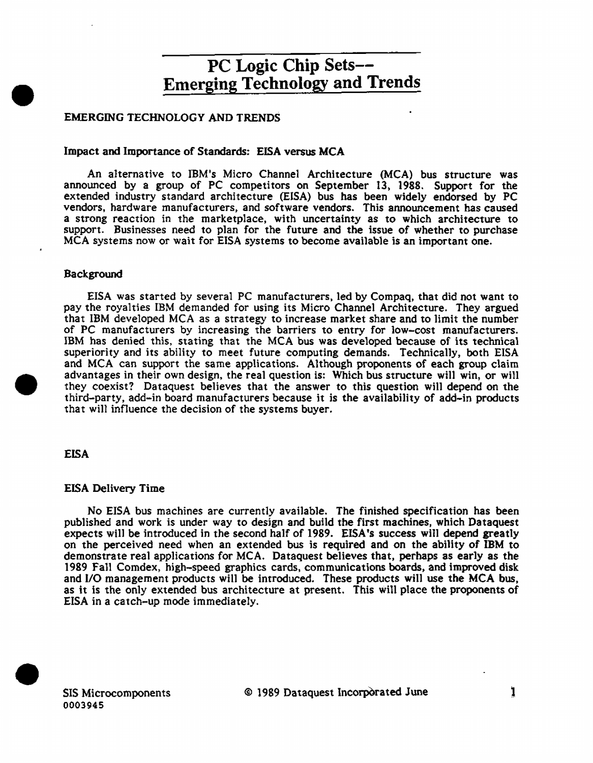### EMERGING TECHNOLOGY AND TRENDS

#### Impact and Importance of Standards: EISA versus MCA

An a1ternative to IBM's Micro Channel Architecture (MCA) bus structure was announced by a group of PC competitors on September 13, 1988. Support for the extended industry standard architecture (EISA) bus has been widely endorsed by PC vendors, hardware manufacturers, and software vendors. This announcement has caused a strong reaction in the marketplace, with uncertainty as to which architecture to support. Businesses need to plan for the future and the issue of whether to purchase MCA systems now or wait for EISA systems to become available is an important one.

#### Background

•

EISA was started by several PC manufacturers, led by Compaq, that did not want to pay the royalties IBM demanded for using its Micro Channel Architecture. They argued that IBM developed MCA as a strategy to increase market share and to limit the number of PC manufacturers by increasing the barriers to entry for low-cost manufacturers. IBM has denied this, stating that the MCA bus was developed because of its technical superiority and its ability to meet future computing demands. Technically, both EISA and MCA can support the same applications. Although proponents of each group claim advantages in their own design, the real question is: Which bus structure will win, or will they coexist? Dataquest believes that the answer to this question will depend on the third-party, add-in board manufacturers because it is the availability of add-in products that will influence the decision of the systems buyer.

#### EISA

•

#### EISA Delivery Time

No EISA bus machines are currently available. The finished specification has been published and work is under way to design and build the first machines, which Dataquest expects will be introduced in the second half of 1989. EISA's success will depend greatly on the perceived need when an extended bus is required and on the ability of IBM to demonstrate real applications for MCA. Dataquest believes that, perhaps as early as the 1989 Fall Comdex, high-speed graphics cards, communications boards, and improved disk and 1/0 management products will be introduced. These products will use the MCA bus, as it is the only extended bus architecture at present. This will place the proponents of EISA in a catch-up mode immediately.

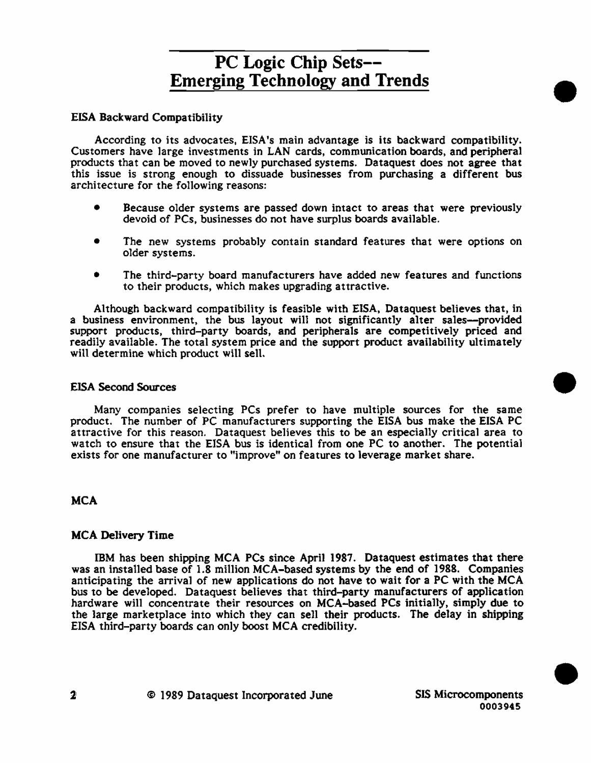## EISA Backward Compatibility

According to its advocates, EISA 's main advantage is its backward compatibility. Customers have large investments in LAN cards, communication boards, and peripheral products that can be moved to newly purchased systems. Dataquest does not agree that this issue is strong enough to dissuade businesses from purchasing a different bus architecture for the fo11owing reasons:

- Because older systems are passed down intact to areas that were previously devoid of PCs, businesses do not have surplus boards available.
- The new systems probably contain standard features that were options on older systems.
- The third-party board manufacturers have added new features and functions to their products, which makes upgrading attractive.

Although backward compatibility is feasible with EISA, Dataquest believes that, in a business environment, the bus layout will not significantly alter sales--provided support products, third-party boards, and peripherals are competitively priced and readily available. The total system price and the support product availability ultimately will determine which product will sell.

### EISA Second Sources

Many companies selecting PCs prefer to have multiple sources for the same product. The number of PC manufacturers supporting the EISA bus make the EISA PC attractive for this reason. Dataquest believes this to be an especially critical area to watch to ensure that the EISA bus is identical from one PC to another. The potential exists for one manufacturer to "improve" on features to leverage market share.

### **MCA**

### MCA Delivery Time

IBM has been shipping MCA PCs since April 1987. Dataquest estimates that there was an installed base of 1.8 million MCA-based systems by the end of 1988. Companies anticipating the arrival of new applications do not have to wait for a PC with the MCA bus to be developed. Dataquest believes that third-party manufacturers of application hardware will concentrate their resources on MCA-based PCs initially, simply due to the large marketplace into which they can sell their products. The delay in shipping EISA third-party boards can only boost MCA credibility.

•

•

•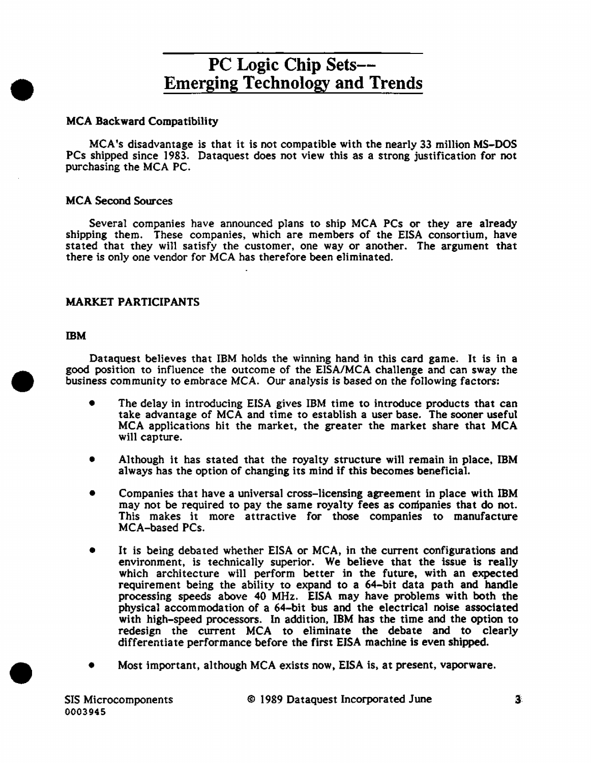## MCA Backward Compatibility

MCA 's disadvantage is that it is not compatible with the nearly 33 million MS-DOS PCs shipped since 1983. Dataquest does not view this as a strong justification for not purchasing the MCA PC.

### MCA Second Sources

Several companies have announced plans to ship MCA PCs or they are already shipping them. These companies, which are members of the EISA consortium, have stated that they will satisfy the customer, one way or another. The argument that there is only one vendor for MCA has therefore been eliminated.

## MARKET PARTICIPANTS

#### IBM

•

•

•

Dataquest believes that IBM holds the winning hand in this card game. It is in a good position to influence the outcome of the EISA/MCA challenge and can sway the business community to embrace MCA. Our analysis is based on the following factors:

- The delay in introducing EISA gives IBM time to introduce products that can take advantage of MCA and time to establish a user base. The sooner useful MCA applications hit the market, the greater the market share that MCA will capture.
- Although it has stated that the royalty structure will remain in place, IBM always has the option of changing its mind if this becomes beneficial.
- Companies that have a universal cross-licensing agreement in place with IBM may not be required to pay the same royalty fees as companies that do not. This makes it more attractive for those companies to manufacture MCA-based PCs.
- It is being debated whether EISA or MCA, in the current configurations and environment, is technically superior. We believe that the issue is really which architecture will perform better in the future, with an expected requirement being the ability to expand to a 64-bit data path and handle processing speeds above 40 MHz. EISA may have problems with both the physical accommodation of a 64-bit bus and the electrical noise associated with high-speed processors. In addition, IBM has the time and the option to redesign the current MCA to eliminate the debate and to clearly differentiate performance before the first EISA machine is even shipped.
- Most important, although MCA exists now, EISA is, at present, vaporware.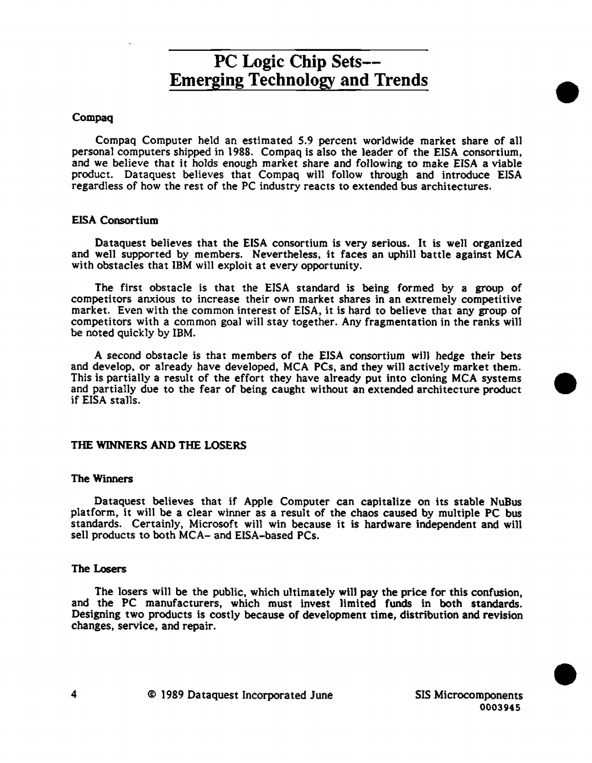#### Compaq

Compaq Computer held an estimated 5.9 percent worldwide market share of all personal computers shipped in 1988. Compaq is also the 1eader of the EISA consortium, and we believe that it holds enough market share and following to make EISA a viable product. Dataquest believes that Compaq will follow through and introduce EISA regardless of how the rest of the PC industry reacts to extended bus architectures.

#### EISA Consortium

Dataquest believes that the EISA consortium is very serious. It is well organized and well supported by members. Nevertheless, it faces an uphill battle against MCA with obstacles that IBM will exploit at every opportunity.

The first obstacle is that the EISA standard is being formed by a group of competitors anxious to increase their own market shares in an extremely competitive market. Even with the common interest of EISA, it is hard to believe that any group of competitors with a common goal will stay together. Any fragmentation in the ranks will be noted quickly by IBM.

A second obstacle is that members of the EJSA consortium wi11 hedge their bets and develop, or already have developed, MCA PCs, and they wi11 actively market them. This is partially a result of the effort they have already put into cloning MCA systems • and partially due to the fear of being caught without an extended architecture product if EISA sta11s.

### THE WINNERS AND THE LOSERS

#### The Winners

Dataquest believes that if Apple Computer can capitalize on its stable NuBus platform, it will be a clear winner as a result of the chaos caused by multiple PC bus standards. Certainly, Microsoft will win because it is hardware independent and will sell products to both MCA- and EISA-based PCs.

#### The Losers

The losers will be the public, which ultimately will pay the price for this confusion, and the PC manufacturers, which must invest limited funds in both standards. Designing two products is costly because of development time, distribution and revision changes, service, and repair.

•

•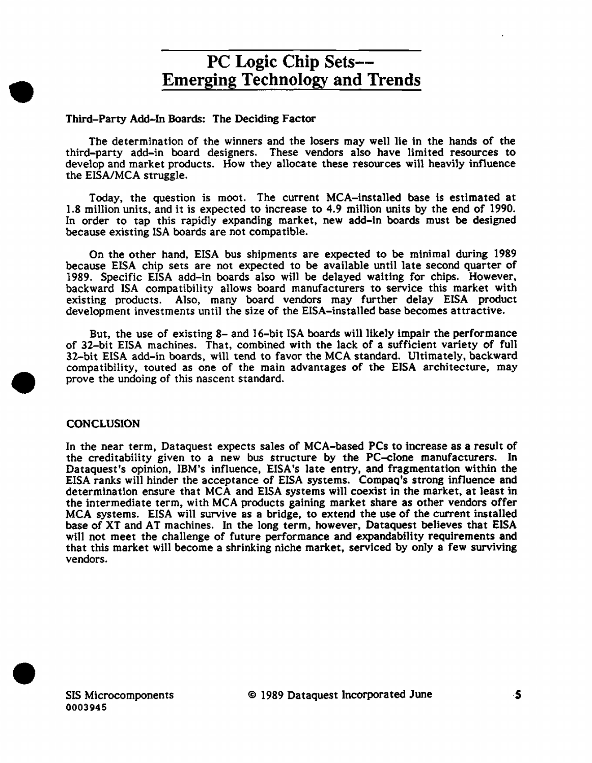#### Third-Party Add-In Boards: The Deciding Factor

The determination of the winners and the losers may well lie in the hands of the third-party add-in board designers. These vendors also have limited resources to develop and market products. How they allocate these resources will heavily influence the ElSA/MCA struggle.

Today, the question is moot. The current MCA-installed base is estimated at 1.8 million units, and it is expected to increase to 4.9 million units by the end of 1990. In order to tap this rapidly expanding market, new add-in boards must be designed because existing ISA boards are not compatible.

On the other hand, EISA bus shipments are expected to be minimal during 1989 because EISA chip sets are not expected to be available until late second quarter of 1989. Specific EISA add-in boards also will be delayed waiting for chips. However, backward ISA compatibility allows board manufacturers to service this market with existing products. Also, many board vendors may further delay EISA product development investments until the size of the EISA-installed base becomes attractive.

But, the use of existing 8- and 16-bit ISA boards will likely impair the performance of 32-bit EISA machines. That, combined with the lack of a sufficient variety of full 32-bit EISA add-in boards, will tend to favor the MCA standard. Ultimately, backward compatibility, touted as one of the main advantages of the EISA architecture, may prove the undoing of this nascent standard.

### **CONCLUSION**

•

•

In the near term, Dataquest expects sales of MCA-based PCs to increase as a result of the creditability given to a new bus structure by the PC-clone manufacturers. In Dataquest's opinion, IBM's influence, EISA's late entry, and fragmentation within the EISA ranks will hinder the acceptance of EJSA systems. Compaq's strong influence and determination ensure that MCA and EISA systems will coexist in the market, at least in the intermediate term, with MCA products gaining market share as other vendors offer MCA systems. EISA will survive as a bridge, to extend the use of the current installed base of XT and AT machines. In the long term, however, Dataquest believes that EISA will not meet the challenge of future performance and expandability requirements and that this market will become a shrinking niche market, serviced by only a few surviving vendors.